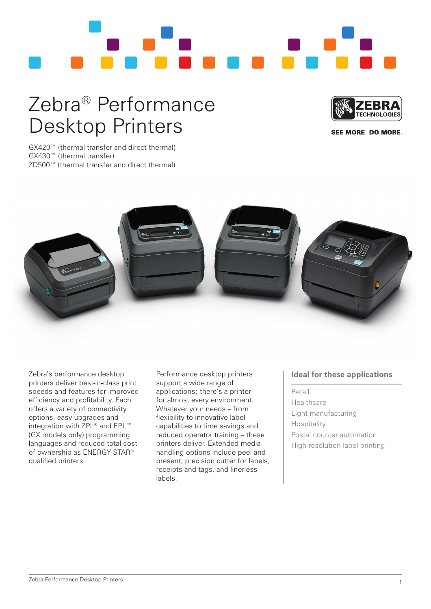

## Zebra® Performance Desktop Printers

GX420™ (thermal transfer and direct thermal) GX430™ (thermal transfer) ZD500™ (thermal transfer and direct thermal)



SEE MORE. DO MORE.



Zebra's performance desktop printers deliver best-in-class print speeds and features for improved efficiency and profitability. Each offers a variety of connectivity options, easy upgrades and integration with ZPL® and EPL™ (GX models only) programming languages and reduced total cost of ownership as ENERGY STAR® qualified printers.

Performance desktop printers support a wide range of applications; there's a printer for almost every environment. Whatever your needs – from flexibility to innovative label capabilities to time savings and reduced operator training – these printers deliver. Extended media handling options include peel and present, precision cutter for labels, receipts and tags, and linerless labels.

### **Ideal for these applications**

Retail Healthcare Light manufacturing Hospitality Postal counter automation High-resolution label printing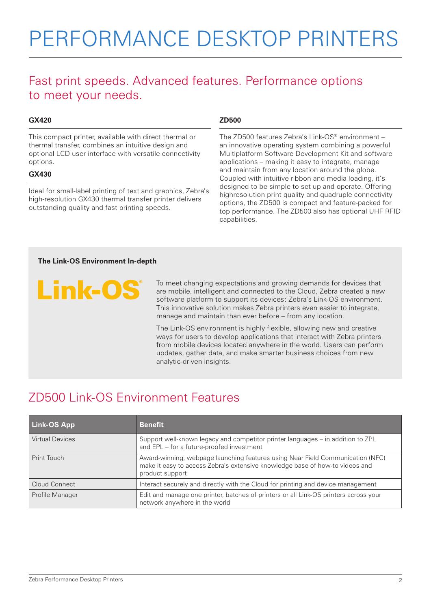# PERFORMANCE DESKTOP PRINTERS

### Fast print speeds. Advanced features. Performance options to meet your needs.

#### **GX420**

This compact printer, available with direct thermal or thermal transfer, combines an intuitive design and optional LCD user interface with versatile connectivity options.

#### **GX430**

Ideal for small-label printing of text and graphics, Zebra's high-resolution GX430 thermal transfer printer delivers outstanding quality and fast printing speeds.

#### **ZD500**

The ZD500 features Zebra's Link-OS® environment – an innovative operating system combining a powerful Multiplatform Software Development Kit and software applications – making it easy to integrate, manage and maintain from any location around the globe. Coupled with intuitive ribbon and media loading, it's designed to be simple to set up and operate. Offering highresolution print quality and quadruple connectivity options, the ZD500 is compact and feature-packed for top performance. The ZD500 also has optional UHF RFID capabilities.

#### **The Link-OS Environment In-depth**

Link-OS

To meet changing expectations and growing demands for devices that are mobile, intelligent and connected to the Cloud, Zebra created a new software platform to support its devices: Zebra's Link-OS environment. This innovative solution makes Zebra printers even easier to integrate, manage and maintain than ever before – from any location.

The Link-OS environment is highly flexible, allowing new and creative ways for users to develop applications that interact with Zebra printers from mobile devices located anywhere in the world. Users can perform updates, gather data, and make smarter business choices from new analytic-driven insights.

## ZD500 Link-OS Environment Features

| <b>Link-OS App</b>     | <b>Benefit</b>                                                                                                                                                                    |
|------------------------|-----------------------------------------------------------------------------------------------------------------------------------------------------------------------------------|
| <b>Virtual Devices</b> | Support well-known legacy and competitor printer languages – in addition to ZPL<br>and EPL - for a future-proofed investment                                                      |
| Print Touch            | Award-winning, webpage launching features using Near Field Communication (NFC)<br>make it easy to access Zebra's extensive knowledge base of how-to videos and<br>product support |
| Cloud Connect          | Interact securely and directly with the Cloud for printing and device management                                                                                                  |
| Profile Manager        | Edit and manage one printer, batches of printers or all Link-OS printers across your<br>network anywhere in the world                                                             |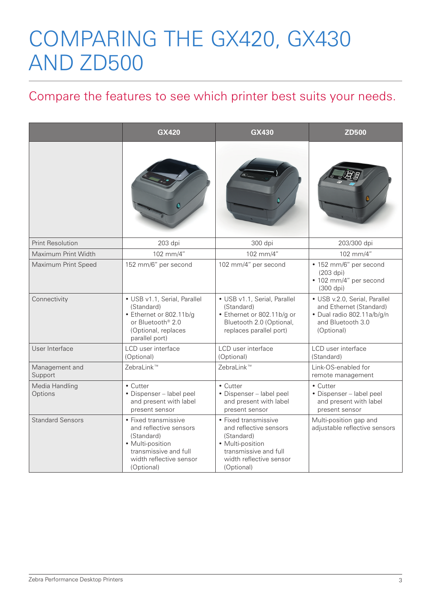## COMPARING THE GX420, GX430 AND ZD500

## Compare the features to see which printer best suits your needs.

|                           | <b>GX420</b>                                                                                                                                       | <b>GX430</b>                                                                                                                                       | <b>ZD500</b>                                                                                                              |
|---------------------------|----------------------------------------------------------------------------------------------------------------------------------------------------|----------------------------------------------------------------------------------------------------------------------------------------------------|---------------------------------------------------------------------------------------------------------------------------|
|                           |                                                                                                                                                    |                                                                                                                                                    |                                                                                                                           |
| <b>Print Resolution</b>   | 203 dpi                                                                                                                                            | 300 dpi                                                                                                                                            | 203/300 dpi                                                                                                               |
| Maximum Print Width       | 102 mm/4"                                                                                                                                          | 102 mm/4"                                                                                                                                          | 102 mm/4"                                                                                                                 |
| Maximum Print Speed       | 152 mm/6" per second                                                                                                                               | 102 mm/4" per second                                                                                                                               | • 152 mm/6" per second<br>$(203$ dpi $)$<br>• 102 mm/4" per second<br>(300 dpi)                                           |
| Connectivity              | • USB v1.1, Serial, Parallel<br>(Standard)<br>• Ethernet or 802.11b/g<br>or Bluetooth® 2.0<br>(Optional, replaces<br>parallel port)                | • USB v1.1, Serial, Parallel<br>(Standard)<br>• Ethernet or 802.11b/g or<br>Bluetooth 2.0 (Optional,<br>replaces parallel port)                    | · USB v.2.0, Serial, Parallel<br>and Ethernet (Standard)<br>· Dual radio 802.11a/b/g/n<br>and Bluetooth 3.0<br>(Optional) |
| User Interface            | LCD user interface<br>(Optional)                                                                                                                   | LCD user interface<br>(Optional)                                                                                                                   | LCD user interface<br>(Standard)                                                                                          |
| Management and<br>Support | ZebraLink™                                                                                                                                         | ZebraLink™                                                                                                                                         | Link-OS-enabled for<br>remote management                                                                                  |
| Media Handling<br>Options | • Cutter<br>• Dispenser - label peel<br>and present with label<br>present sensor                                                                   | • Cutter<br>• Dispenser - label peel<br>and present with label<br>present sensor                                                                   | • Cutter<br>· Dispenser - label peel<br>and present with label<br>present sensor                                          |
| <b>Standard Sensors</b>   | • Fixed transmissive<br>and reflective sensors<br>(Standard)<br>• Multi-position<br>transmissive and full<br>width reflective sensor<br>(Optional) | • Fixed transmissive<br>and reflective sensors<br>(Standard)<br>• Multi-position<br>transmissive and full<br>width reflective sensor<br>(Optional) | Multi-position gap and<br>adjustable reflective sensors                                                                   |